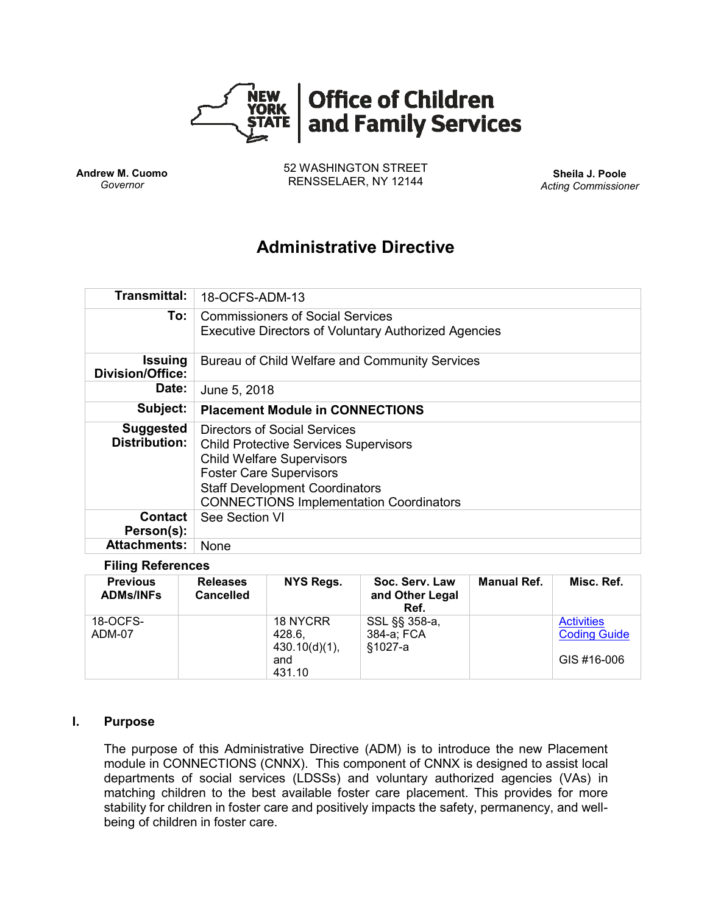

**Andrew M. Cuomo** *Governor*

52 WASHINGTON STREET RENSSELAER, NY 12144 **Sheila J. Poole**

*Acting Commissioner*

# **Administrative Directive**

| <b>Transmittal:</b>                       | 18-OCFS-ADM-13                                                                                                                                                                                                                                |  |  |  |  |
|-------------------------------------------|-----------------------------------------------------------------------------------------------------------------------------------------------------------------------------------------------------------------------------------------------|--|--|--|--|
| To:                                       | Commissioners of Social Services<br><b>Executive Directors of Voluntary Authorized Agencies</b>                                                                                                                                               |  |  |  |  |
| <b>Issuing</b><br><b>Division/Office:</b> | Bureau of Child Welfare and Community Services                                                                                                                                                                                                |  |  |  |  |
| Date:                                     | June 5, 2018                                                                                                                                                                                                                                  |  |  |  |  |
| Subject:                                  | <b>Placement Module in CONNECTIONS</b>                                                                                                                                                                                                        |  |  |  |  |
| <b>Suggested</b><br><b>Distribution:</b>  | Directors of Social Services<br><b>Child Protective Services Supervisors</b><br><b>Child Welfare Supervisors</b><br><b>Foster Care Supervisors</b><br><b>Staff Development Coordinators</b><br><b>CONNECTIONS Implementation Coordinators</b> |  |  |  |  |
| Contact                                   | See Section VI                                                                                                                                                                                                                                |  |  |  |  |
| Person(s):                                |                                                                                                                                                                                                                                               |  |  |  |  |

## **Filing References**

| <b>Previous</b><br><b>ADMs/INFs</b> | <b>Releases</b><br><b>Cancelled</b> | NYS Regs.                                               | Soc. Serv. Law<br>and Other Legal<br>Ref. | <b>Manual Ref.</b> | Misc. Ref.                                              |
|-------------------------------------|-------------------------------------|---------------------------------------------------------|-------------------------------------------|--------------------|---------------------------------------------------------|
| 18-OCFS-<br>ADM-07                  |                                     | 18 NYCRR<br>428.6.<br>$430.10(d)(1)$ ,<br>and<br>431.10 | SSL §§ 358-a,<br>384-a; FCA<br>§1027-a    |                    | <b>Activities</b><br><b>Coding Guide</b><br>GIS #16-006 |

#### **I. Purpose**

The purpose of this Administrative Directive (ADM) is to introduce the new Placement module in CONNECTIONS (CNNX). This component of CNNX is designed to assist local departments of social services (LDSSs) and voluntary authorized agencies (VAs) in matching children to the best available foster care placement. This provides for more stability for children in foster care and positively impacts the safety, permanency, and wellbeing of children in foster care.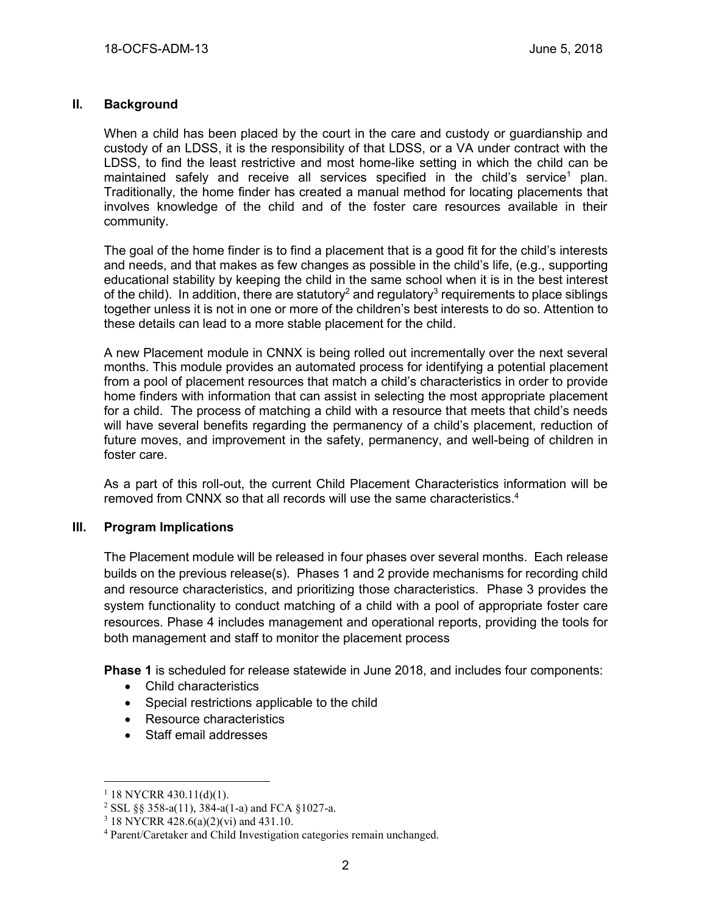### **II. Background**

When a child has been placed by the court in the care and custody or guardianship and custody of an LDSS, it is the responsibility of that LDSS, or a VA under contract with the LDSS, to find the least restrictive and most home-like setting in which the child can be maintained safely and receive all services specified in the child's service<sup>1</sup> plan. Traditionally, the home finder has created a manual method for locating placements that involves knowledge of the child and of the foster care resources available in their community.

The goal of the home finder is to find a placement that is a good fit for the child's interests and needs, and that makes as few changes as possible in the child's life, (e.g., supporting educational stability by keeping the child in the same school when it is in the best interest of the child). In addition, there are statutory<sup>2</sup> and regulatory<sup>3</sup> requirements to place siblings together unless it is not in one or more of the children's best interests to do so. Attention to these details can lead to a more stable placement for the child.

A new Placement module in CNNX is being rolled out incrementally over the next several months. This module provides an automated process for identifying a potential placement from a pool of placement resources that match a child's characteristics in order to provide home finders with information that can assist in selecting the most appropriate placement for a child. The process of matching a child with a resource that meets that child's needs will have several benefits regarding the permanency of a child's placement, reduction of future moves, and improvement in the safety, permanency, and well-being of children in foster care.

As a part of this roll-out, the current Child Placement Characteristics information will be removed from CNNX so that all records will use the same characteristics. 4

#### **III. Program Implications**

The Placement module will be released in four phases over several months. Each release builds on the previous release(s). Phases 1 and 2 provide mechanisms for recording child and resource characteristics, and prioritizing those characteristics. Phase 3 provides the system functionality to conduct matching of a child with a pool of appropriate foster care resources. Phase 4 includes management and operational reports, providing the tools for both management and staff to monitor the placement process

**Phase 1** is scheduled for release statewide in June 2018, and includes four components:

- Child characteristics
- Special restrictions applicable to the child
- Resource characteristics
- Staff email addresses

 $\overline{a}$ 

 $1$  18 NYCRR 430.11(d)(1).

<sup>&</sup>lt;sup>2</sup> SSL §§ 358-a(11),  $384-a(1-a)$  and FCA §1027-a.

<sup>3</sup> 18 NYCRR 428.6(a)(2)(vi) and 431.10.

<sup>4</sup> Parent/Caretaker and Child Investigation categories remain unchanged.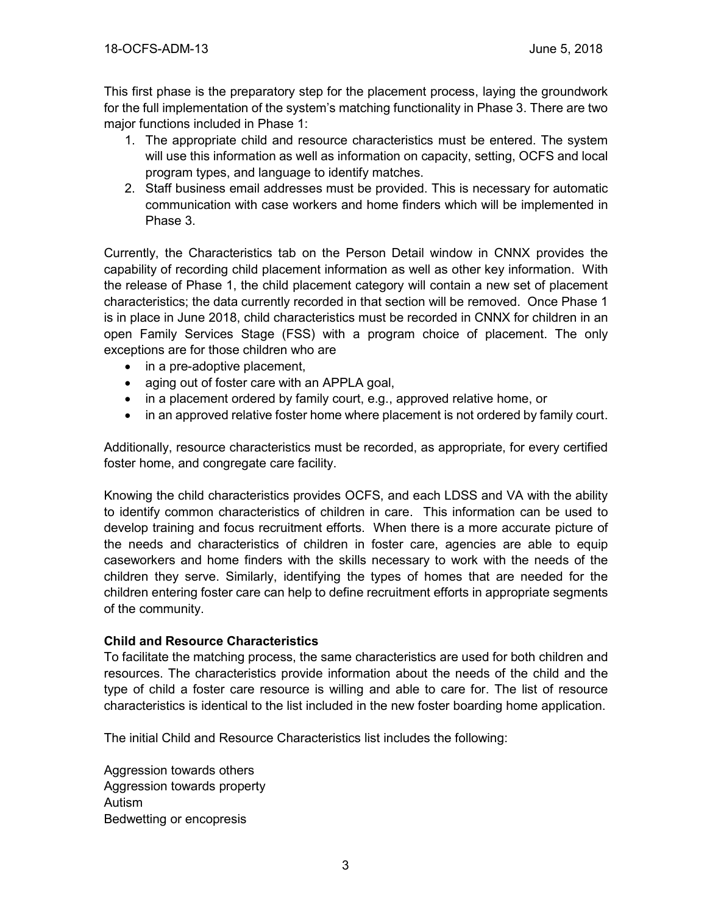This first phase is the preparatory step for the placement process, laying the groundwork for the full implementation of the system's matching functionality in Phase 3. There are two major functions included in Phase 1:

- 1. The appropriate child and resource characteristics must be entered. The system will use this information as well as information on capacity, setting, OCFS and local program types, and language to identify matches.
- 2. Staff business email addresses must be provided. This is necessary for automatic communication with case workers and home finders which will be implemented in Phase 3.

Currently, the Characteristics tab on the Person Detail window in CNNX provides the capability of recording child placement information as well as other key information. With the release of Phase 1, the child placement category will contain a new set of placement characteristics; the data currently recorded in that section will be removed. Once Phase 1 is in place in June 2018, child characteristics must be recorded in CNNX for children in an open Family Services Stage (FSS) with a program choice of placement. The only exceptions are for those children who are

- in a pre-adoptive placement,
- aging out of foster care with an APPLA goal,
- in a placement ordered by family court, e.g., approved relative home, or
- in an approved relative foster home where placement is not ordered by family court.

Additionally, resource characteristics must be recorded, as appropriate, for every certified foster home, and congregate care facility.

Knowing the child characteristics provides OCFS, and each LDSS and VA with the ability to identify common characteristics of children in care. This information can be used to develop training and focus recruitment efforts. When there is a more accurate picture of the needs and characteristics of children in foster care, agencies are able to equip caseworkers and home finders with the skills necessary to work with the needs of the children they serve. Similarly, identifying the types of homes that are needed for the children entering foster care can help to define recruitment efforts in appropriate segments of the community.

#### **Child and Resource Characteristics**

To facilitate the matching process, the same characteristics are used for both children and resources. The characteristics provide information about the needs of the child and the type of child a foster care resource is willing and able to care for. The list of resource characteristics is identical to the list included in the new foster boarding home application.

The initial Child and Resource Characteristics list includes the following:

Aggression towards others Aggression towards property Autism Bedwetting or encopresis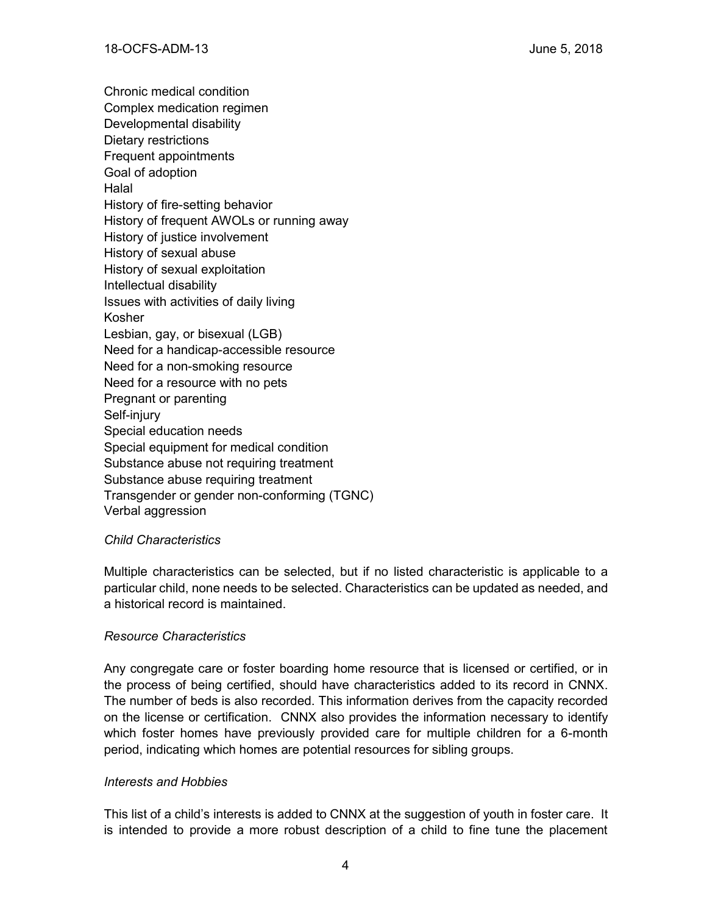Chronic medical condition Complex medication regimen Developmental disability Dietary restrictions Frequent appointments Goal of adoption **Halal** History of fire-setting behavior History of frequent AWOLs or running away History of justice involvement History of sexual abuse History of sexual exploitation Intellectual disability Issues with activities of daily living Kosher Lesbian, gay, or bisexual (LGB) Need for a handicap-accessible resource Need for a non-smoking resource Need for a resource with no pets Pregnant or parenting Self-injury Special education needs Special equipment for medical condition Substance abuse not requiring treatment Substance abuse requiring treatment Transgender or gender non-conforming (TGNC) Verbal aggression

## *Child Characteristics*

Multiple characteristics can be selected, but if no listed characteristic is applicable to a particular child, none needs to be selected. Characteristics can be updated as needed, and a historical record is maintained.

## *Resource Characteristics*

Any congregate care or foster boarding home resource that is licensed or certified, or in the process of being certified, should have characteristics added to its record in CNNX. The number of beds is also recorded. This information derives from the capacity recorded on the license or certification. CNNX also provides the information necessary to identify which foster homes have previously provided care for multiple children for a 6-month period, indicating which homes are potential resources for sibling groups.

#### *Interests and Hobbies*

This list of a child's interests is added to CNNX at the suggestion of youth in foster care. It is intended to provide a more robust description of a child to fine tune the placement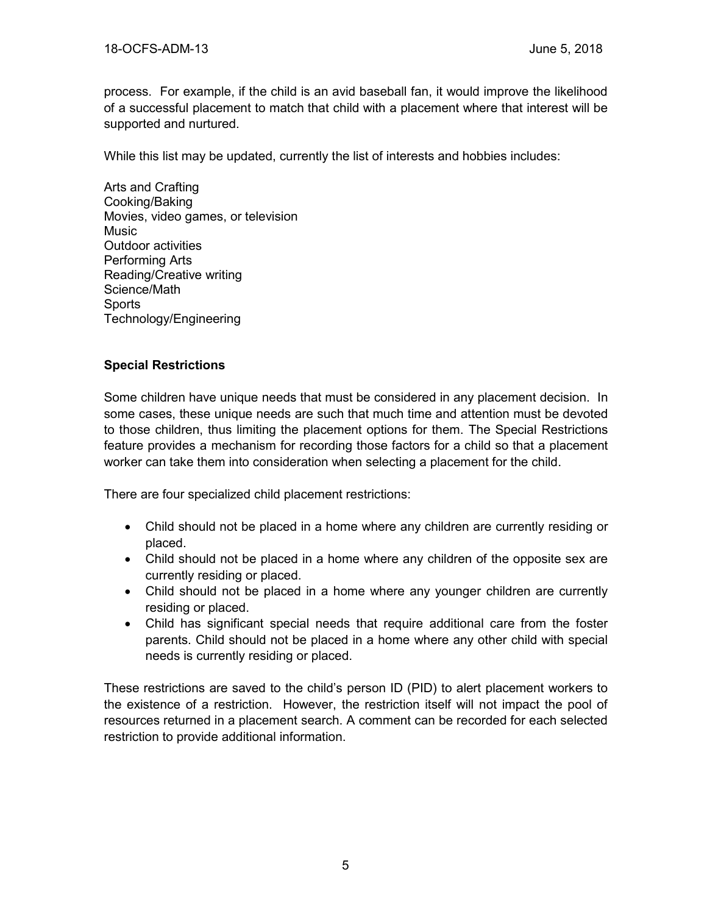process. For example, if the child is an avid baseball fan, it would improve the likelihood of a successful placement to match that child with a placement where that interest will be supported and nurtured.

While this list may be updated, currently the list of interests and hobbies includes:

Arts and Crafting Cooking/Baking Movies, video games, or television **Music** Outdoor activities Performing Arts Reading/Creative writing Science/Math **Sports** Technology/Engineering

## **Special Restrictions**

Some children have unique needs that must be considered in any placement decision. In some cases, these unique needs are such that much time and attention must be devoted to those children, thus limiting the placement options for them. The Special Restrictions feature provides a mechanism for recording those factors for a child so that a placement worker can take them into consideration when selecting a placement for the child.

There are four specialized child placement restrictions:

- Child should not be placed in a home where any children are currently residing or placed.
- Child should not be placed in a home where any children of the opposite sex are currently residing or placed.
- Child should not be placed in a home where any younger children are currently residing or placed.
- Child has significant special needs that require additional care from the foster parents. Child should not be placed in a home where any other child with special needs is currently residing or placed.

These restrictions are saved to the child's person ID (PID) to alert placement workers to the existence of a restriction. However, the restriction itself will not impact the pool of resources returned in a placement search. A comment can be recorded for each selected restriction to provide additional information.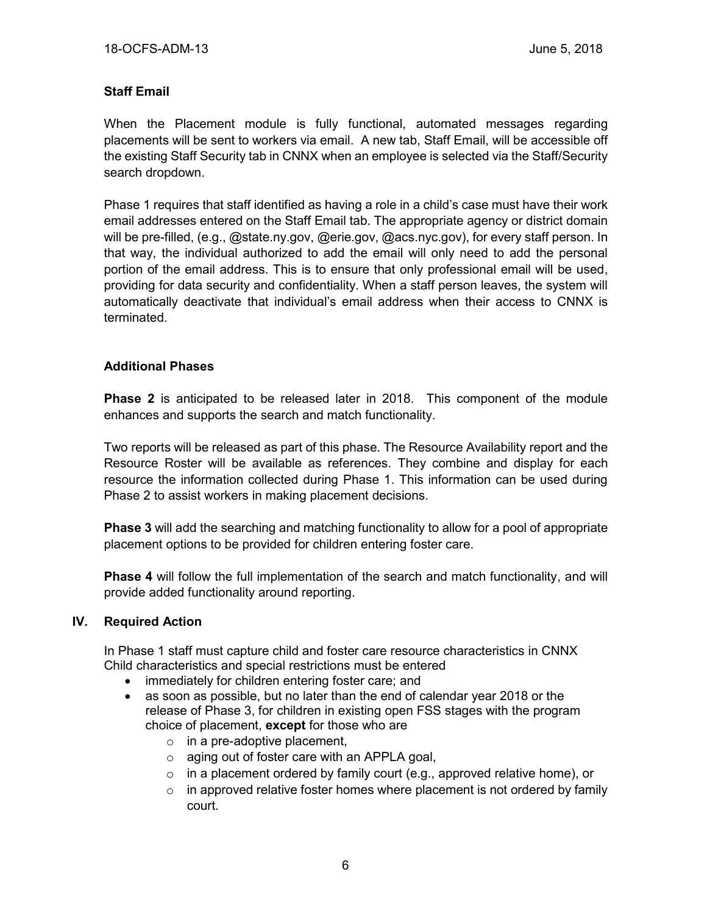## **Staff Email**

When the Placement module is fully functional, automated messages regarding placements will be sent to workers via email. A new tab, Staff Email, will be accessible off the existing Staff Security tab in CNNX when an employee is selected via the Staff/Security search dropdown.

Phase 1 requires that staff identified as having a role in a child's case must have their work email addresses entered on the Staff Email tab. The appropriate agency or district domain will be pre-filled, (e.g., @state.ny.gov, @erie.gov, @acs.nyc.gov), for every staff person. In that way, the individual authorized to add the email will only need to add the personal portion of the email address. This is to ensure that only professional email will be used, providing for data security and confidentiality. When a staff person leaves, the system will automatically deactivate that individual's email address when their access to CNNX is terminated.

## **Additional Phases**

**Phase 2** is anticipated to be released later in 2018. This component of the module enhances and supports the search and match functionality.

Two reports will be released as part of this phase. The Resource Availability report and the Resource Roster will be available as references. They combine and display for each resource the information collected during Phase 1. This information can be used during Phase 2 to assist workers in making placement decisions.

**Phase 3** will add the searching and matching functionality to allow for a pool of appropriate placement options to be provided for children entering foster care.

**Phase 4** will follow the full implementation of the search and match functionality, and will provide added functionality around reporting.

#### **IV. Required Action**

In Phase 1 staff must capture child and foster care resource characteristics in CNNX Child characteristics and special restrictions must be entered

- immediately for children entering foster care; and
- as soon as possible, but no later than the end of calendar year 2018 or the release of Phase 3, for children in existing open FSS stages with the program choice of placement, **except** for those who are
	- $\circ$  in a pre-adoptive placement,
	- o aging out of foster care with an APPLA goal,
	- $\circ$  in a placement ordered by family court (e.g., approved relative home), or
	- $\circ$  in approved relative foster homes where placement is not ordered by family court.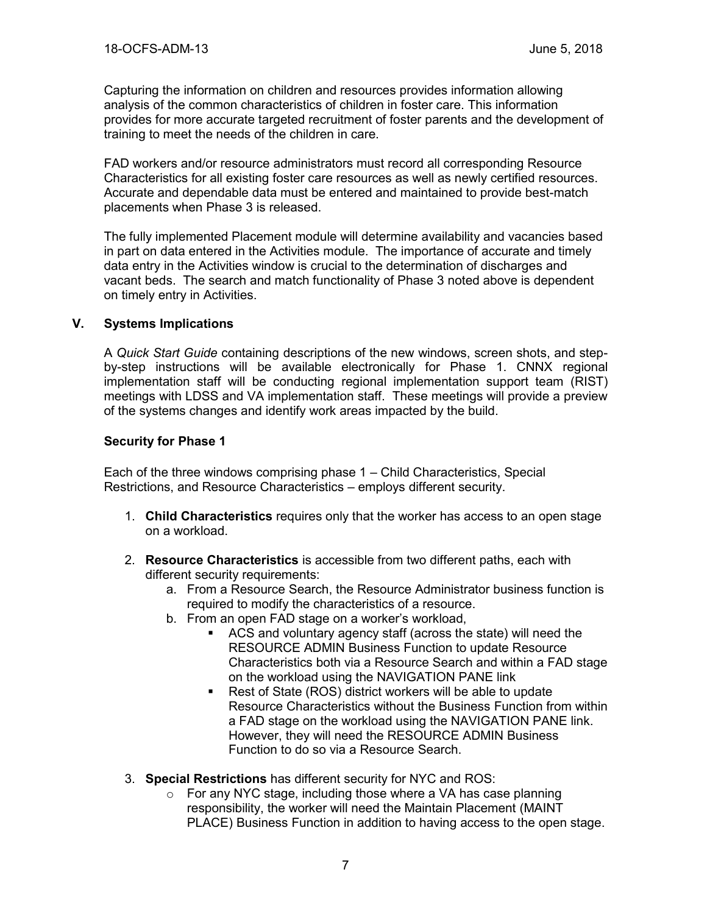Capturing the information on children and resources provides information allowing analysis of the common characteristics of children in foster care. This information provides for more accurate targeted recruitment of foster parents and the development of training to meet the needs of the children in care.

FAD workers and/or resource administrators must record all corresponding Resource Characteristics for all existing foster care resources as well as newly certified resources. Accurate and dependable data must be entered and maintained to provide best-match placements when Phase 3 is released.

The fully implemented Placement module will determine availability and vacancies based in part on data entered in the Activities module. The importance of accurate and timely data entry in the Activities window is crucial to the determination of discharges and vacant beds. The search and match functionality of Phase 3 noted above is dependent on timely entry in Activities.

## **V. Systems Implications**

A *Quick Start Guide* containing descriptions of the new windows, screen shots, and stepby-step instructions will be available electronically for Phase 1. CNNX regional implementation staff will be conducting regional implementation support team (RIST) meetings with LDSS and VA implementation staff. These meetings will provide a preview of the systems changes and identify work areas impacted by the build.

## **Security for Phase 1**

Each of the three windows comprising phase 1 – Child Characteristics, Special Restrictions, and Resource Characteristics – employs different security.

- 1. **Child Characteristics** requires only that the worker has access to an open stage on a workload.
- 2. **Resource Characteristics** is accessible from two different paths, each with different security requirements:
	- a. From a Resource Search, the Resource Administrator business function is required to modify the characteristics of a resource.
	- b. From an open FAD stage on a worker's workload,
		- ACS and voluntary agency staff (across the state) will need the RESOURCE ADMIN Business Function to update Resource Characteristics both via a Resource Search and within a FAD stage on the workload using the NAVIGATION PANE link
		- Rest of State (ROS) district workers will be able to update Resource Characteristics without the Business Function from within a FAD stage on the workload using the NAVIGATION PANE link. However, they will need the RESOURCE ADMIN Business Function to do so via a Resource Search.
- 3. **Special Restrictions** has different security for NYC and ROS:
	- o For any NYC stage, including those where a VA has case planning responsibility, the worker will need the Maintain Placement (MAINT PLACE) Business Function in addition to having access to the open stage.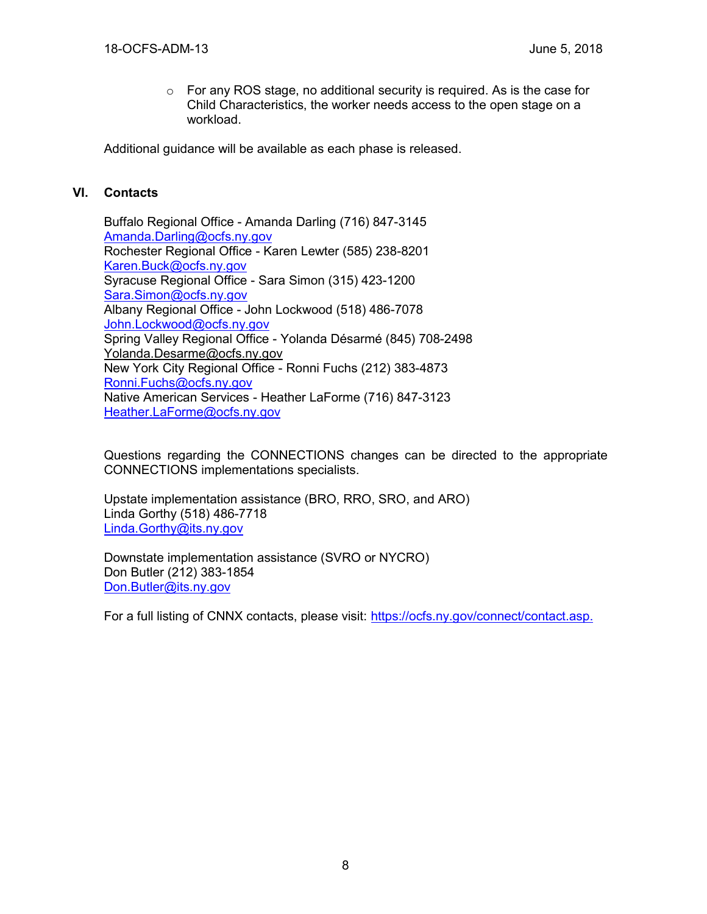$\circ$  For any ROS stage, no additional security is required. As is the case for Child Characteristics, the worker needs access to the open stage on a workload.

Additional guidance will be available as each phase is released.

#### **VI. Contacts**

Buffalo Regional Office - Amanda Darling (716) 847-3145 [Amanda.Darling@ocfs.ny.gov](mailto:Amanda.Darling@ocfs.ny.gov) Rochester Regional Office - Karen Lewter (585) 238-8201 [Karen.Buck@ocfs.ny.gov](mailto:Karen.Buck@ocfs.ny.gov) Syracuse Regional Office - Sara Simon (315) 423-1200 [Sara.Simon@ocfs.ny.gov](mailto:Sara.Simon@ocfs.ny.gov) Albany Regional Office - John Lockwood (518) 486-7078 [John.Lockwood@ocfs.ny.gov](mailto:John.Lockwood@ocfs.ny.gov) Spring Valley Regional Office - Yolanda Désarmé (845) 708-2498 [Yolanda.Desarme@ocfs.ny.gov](mailto:Yolanda.Desarme@ocfs.ny.gov) New York City Regional Office - Ronni Fuchs (212) 383-4873 [Ronni.Fuchs@ocfs.ny.gov](mailto:Ronni.Fuchs@ocfs.ny.gov) Native American Services - Heather LaForme (716) 847-3123 [Heather.LaForme@ocfs.ny.gov](mailto:Heather.LaForme@ocfs.ny.gov)

Questions regarding the CONNECTIONS changes can be directed to the appropriate CONNECTIONS implementations specialists.

Upstate implementation assistance (BRO, RRO, SRO, and ARO) Linda Gorthy (518) 486-7718 [Linda.Gorthy@its.ny.gov](mailto:Linda.Gorthy@its.ny.gov)

Downstate implementation assistance (SVRO or NYCRO) Don Butler (212) 383-1854 [Don.Butler@its.ny.gov](mailto:Don.Butler@its.ny.gov)

For a full listing of CNNX contacts, please visit: [https://ocfs.ny.gov/connect/contact.asp.](https://ocfs.ny.gov/connect/contact.asp)